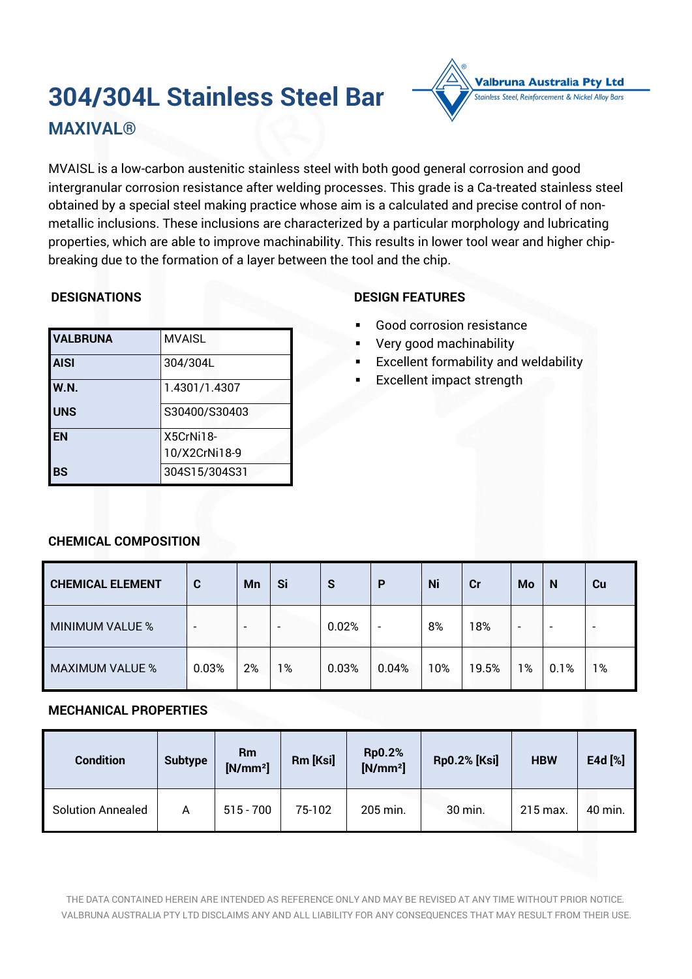# **304/304L Stainless Steel Bar**



**MAXIVAL®**

MVAISL is a low-carbon austenitic stainless steel with both good general corrosion and good intergranular corrosion resistance after welding processes. This grade is a Ca-treated stainless steel obtained by a special steel making practice whose aim is a calculated and precise control of nonmetallic inclusions. These inclusions are characterized by a particular morphology and lubricating properties, which are able to improve machinability. This results in lower tool wear and higher chipbreaking due to the formation of a layer between the tool and the chip.

# **DESIGNATIONS**

| <b>VALBRUNA</b> | <b>MVAISL</b> |
|-----------------|---------------|
| <b>AISI</b>     | 304/304L      |
| W.N.            | 1.4301/1.4307 |
| <b>UNS</b>      | S30400/S30403 |
| <b>IEN</b>      | X5CrNi18-     |
|                 | 10/X2CrNi18-9 |
| l BS            | 304S15/304S31 |

# **DESIGN FEATURES**

- Good corrosion resistance
- Very good machinability
- **Excellent formability and weldability**
- **Excellent impact strength**

# **CHEMICAL COMPOSITION**

| <b>CHEMICAL ELEMENT</b> | C     | Mn                       | Si                       | S     | P                        | Ni  | cr    | Mo | N                        | Cu             |
|-------------------------|-------|--------------------------|--------------------------|-------|--------------------------|-----|-------|----|--------------------------|----------------|
| MINIMUM VALUE %         | ۰     | $\overline{\phantom{0}}$ | $\overline{\phantom{0}}$ | 0.02% | $\overline{\phantom{a}}$ | 8%  | 18%   | -  | $\overline{\phantom{0}}$ | $\blacksquare$ |
| <b>MAXIMUM VALUE %</b>  | 0.03% | 2%                       | 1%                       | 0.03% | 0.04%                    | 10% | 19.5% | 1% | 0.1%                     | 1%             |

# **MECHANICAL PROPERTIES**

| <b>Condition</b>         | <b>Subtype</b> | Rm<br>$[N/mm^2]$ | Rm [Ksi] | <b>Rp0.2%</b><br>$[N/mm^2]$ | <b>Rp0.2% [Ksi]</b> | <b>HBW</b> | E4d [%] |
|--------------------------|----------------|------------------|----------|-----------------------------|---------------------|------------|---------|
| <b>Solution Annealed</b> | A              | $515 - 700$      | 75-102   | 205 min.                    | 30 min.             | 215 max.   | 40 min. |

THE DATA CONTAINED HEREIN ARE INTENDED AS REFERENCE ONLY AND MAY BE REVISED AT ANY TIME WITHOUT PRIOR NOTICE. VALBRUNA AUSTRALIA PTY LTD DISCLAIMS ANY AND ALL LIABILITY FOR ANY CONSEQUENCES THAT MAY RESULT FROM THEIR USE.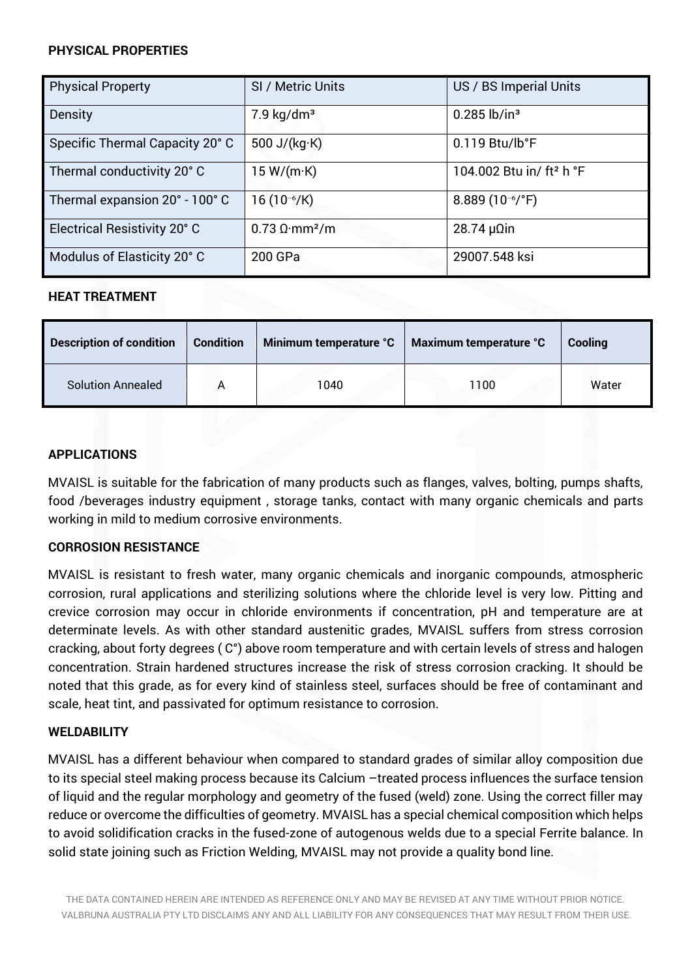## **PHYSICAL PROPERTIES**

| <b>Physical Property</b>        | SI / Metric Units                        | US / BS Imperial Units               |
|---------------------------------|------------------------------------------|--------------------------------------|
| Density                         | $7.9 \text{ kg/dm}^3$                    | $0.285$ lb/in <sup>3</sup>           |
| Specific Thermal Capacity 20° C | 500 J/ $(kg·K)$                          | $0.119$ Btu/lb°F                     |
| Thermal conductivity 20° C      | 15 W/(m·K)                               | 104.002 Btu in/ ft <sup>2</sup> h °F |
| Thermal expansion 20° - 100° C  | $16(10^{-6}/K)$                          | 8.889 $(10^{-6}/^{\circ}F)$          |
| Electrical Resistivity 20° C    | $0.73 \Omega \cdot \text{mm}^2/\text{m}$ | $28.74 \mu \Omega$ in                |
| Modulus of Elasticity 20° C     | 200 GPa                                  | 29007.548 ksi                        |

# **HEAT TREATMENT**

| <b>Description of condition</b> | <b>Condition</b> | Minimum temperature °C | Maximum temperature °C | Cooling |
|---------------------------------|------------------|------------------------|------------------------|---------|
| Solution Annealed               | A                | 1040                   | 1100                   | Water   |

#### **APPLICATIONS**

MVAISL is suitable for the fabrication of many products such as flanges, valves, bolting, pumps shafts, food /beverages industry equipment , storage tanks, contact with many organic chemicals and parts working in mild to medium corrosive environments.

# **CORROSION RESISTANCE**

MVAISL is resistant to fresh water, many organic chemicals and inorganic compounds, atmospheric corrosion, rural applications and sterilizing solutions where the chloride level is very low. Pitting and crevice corrosion may occur in chloride environments if concentration, pH and temperature are at determinate levels. As with other standard austenitic grades, MVAISL suffers from stress corrosion cracking, about forty degrees ( C°) above room temperature and with certain levels of stress and halogen concentration. Strain hardened structures increase the risk of stress corrosion cracking. It should be noted that this grade, as for every kind of stainless steel, surfaces should be free of contaminant and scale, heat tint, and passivated for optimum resistance to corrosion.

#### **WELDABILITY**

MVAISL has a different behaviour when compared to standard grades of similar alloy composition due to its special steel making process because its Calcium –treated process influences the surface tension of liquid and the regular morphology and geometry of the fused (weld) zone. Using the correct filler may reduce or overcome the difficulties of geometry. MVAISL has a special chemical composition which helps to avoid solidification cracks in the fused-zone of autogenous welds due to a special Ferrite balance. In solid state joining such as Friction Welding, MVAISL may not provide a quality bond line.